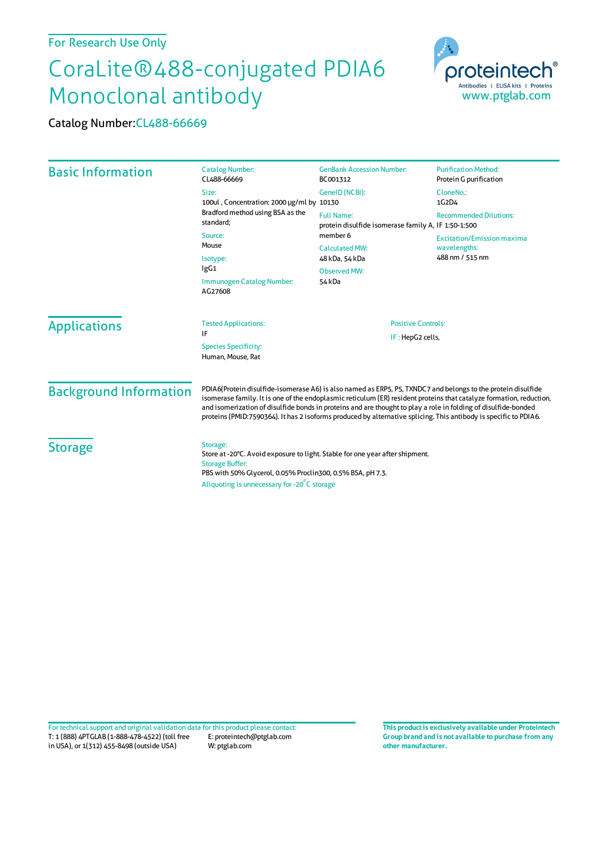## For Research Use Only

## CoraLite®488-conjugated PDIA6 Monoclonal antibody



Catalog Number:CL488-66669

| <b>Basic Information</b>                         | <b>Catalog Number:</b><br>CL488-66669                                                                                                                                                                                                                                                                                                                                                                                                                                     | <b>GenBank Accession Number:</b><br>BC001312                             | <b>Purification Method:</b><br>Protein G purification |                     |                             |                           |  |
|--------------------------------------------------|---------------------------------------------------------------------------------------------------------------------------------------------------------------------------------------------------------------------------------------------------------------------------------------------------------------------------------------------------------------------------------------------------------------------------------------------------------------------------|--------------------------------------------------------------------------|-------------------------------------------------------|---------------------|-----------------------------|---------------------------|--|
|                                                  | Size:<br>100ul, Concentration: 2000 µg/ml by 10130<br>Bradford method using BSA as the<br>standard:<br>Source:<br>Mouse<br>Isotype:<br>lgG1<br>Immunogen Catalog Number:<br>AG27608                                                                                                                                                                                                                                                                                       | GeneID (NCBI):                                                           | CloneNo.:                                             |                     |                             |                           |  |
|                                                  |                                                                                                                                                                                                                                                                                                                                                                                                                                                                           |                                                                          | 1G2D4                                                 |                     |                             |                           |  |
|                                                  |                                                                                                                                                                                                                                                                                                                                                                                                                                                                           | <b>Full Name:</b><br>protein disulfide isomerase family A, IF 1:50-1:500 | <b>Recommended Dilutions:</b>                         |                     |                             |                           |  |
|                                                  |                                                                                                                                                                                                                                                                                                                                                                                                                                                                           | member 6<br><b>Excitation/Emission maxima</b>                            |                                                       |                     |                             |                           |  |
|                                                  |                                                                                                                                                                                                                                                                                                                                                                                                                                                                           | <b>Calculated MW:</b>                                                    | wavelengths:                                          |                     |                             |                           |  |
|                                                  |                                                                                                                                                                                                                                                                                                                                                                                                                                                                           | 48 kDa, 54 kDa<br><b>Observed MW:</b><br>54 kDa                          | 488 nm / 515 nm                                       |                     |                             |                           |  |
|                                                  |                                                                                                                                                                                                                                                                                                                                                                                                                                                                           |                                                                          |                                                       | <b>Applications</b> | <b>Tested Applications:</b> | <b>Positive Controls:</b> |  |
|                                                  |                                                                                                                                                                                                                                                                                                                                                                                                                                                                           |                                                                          |                                                       |                     | IF                          | IF: HepG2 cells,          |  |
| <b>Species Specificity:</b><br>Human, Mouse, Rat |                                                                                                                                                                                                                                                                                                                                                                                                                                                                           |                                                                          |                                                       |                     |                             |                           |  |
| <b>Background Information</b>                    | PDIA6(Protein disulfide-isomerase A6) is also named as ERP5, P5, TXNDC7 and belongs to the protein disulfide<br>isomerase family. It is one of the endoplasmic reticulum (ER) resident proteins that catalyze formation, reduction,<br>and isomerization of disulfide bonds in proteins and are thought to play a role in folding of disulfide-bonded<br>proteins (PMID:7590364). It has 2 isoforms produced by alternative splicing. This antibody is specific to PDIA6. |                                                                          |                                                       |                     |                             |                           |  |
| <b>Storage</b>                                   | Storage:<br>Store at -20°C. Avoid exposure to light. Stable for one year after shipment.<br><b>Storage Buffer:</b><br>PBS with 50% Glycerol, 0.05% Proclin300, 0.5% BSA, pH 7.3.<br>Aliquoting is unnecessary for -20°C storage                                                                                                                                                                                                                                           |                                                                          |                                                       |                     |                             |                           |  |

T: 1 (888) 4PTGLAB (1-888-478-4522) (toll free in USA), or 1(312) 455-8498 (outside USA) E: proteintech@ptglab.com W: ptglab.com Fortechnical support and original validation data forthis product please contact: **This productis exclusively available under Proteintech**

**Group brand and is not available to purchase from any other manufacturer.**